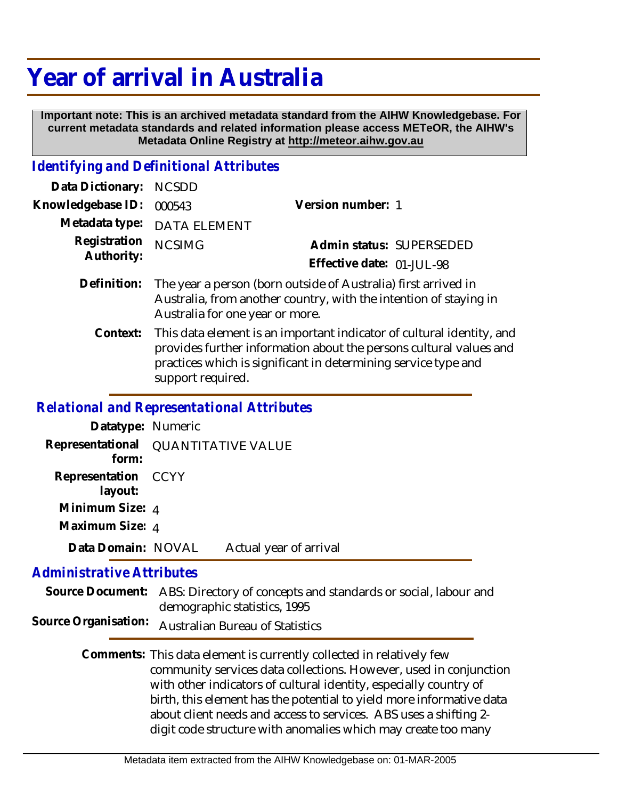## **Year of arrival in Australia**

 **Important note: This is an archived metadata standard from the AIHW Knowledgebase. For current metadata standards and related information please access METeOR, the AIHW's Metadata Online Registry at http://meteor.aihw.gov.au**

## *Identifying and Definitional Attributes*

| Data Dictionary: NCSDD            |                                                                            |                           |                          |
|-----------------------------------|----------------------------------------------------------------------------|---------------------------|--------------------------|
| Knowledgebase ID: 000543          |                                                                            | Version number: 1         |                          |
|                                   | Metadata type: DATA ELEMENT                                                |                           |                          |
| Registration NCSIMG<br>Authority: |                                                                            |                           | Admin status: SUPERSEDED |
|                                   |                                                                            | Effective date: 01-JUL-98 |                          |
|                                   | Definition: The year a person (born outside of Australia) first arrived in |                           |                          |

- ar a person (born outside of Australia) first arrived in  $\;$ Australia, from another country, with the intention of staying in Australia for one year or more. **Definition:**
	- This data element is an important indicator of cultural identity, and provides further information about the persons cultural values and practices which is significant in determining service type and support required. **Context:**

## *Relational and Representational Attributes*

| Datatype: Numeric                                        |                        |  |
|----------------------------------------------------------|------------------------|--|
| Representational QUANTITATIVE VALUE<br>form <sup>.</sup> |                        |  |
| Representation CCYY<br>layout:                           |                        |  |
| Minimum Size: 4                                          |                        |  |
| Maximum Size: 4                                          |                        |  |
| Data Domain: NOVAL                                       | Actual year of arrival |  |

## *Administrative Attributes*

|  | Source Document: ABS: Directory of concepts and standards or social, labour and |
|--|---------------------------------------------------------------------------------|
|  | demographic statistics, 1995                                                    |
|  | Source Organisation: Australian Bureau of Statistics                            |

Comments: This data element is currently collected in relatively few community services data collections. However, used in conjunction with other indicators of cultural identity, especially country of birth, this element has the potential to yield more informative data about client needs and access to services. ABS uses a shifting 2 digit code structure with anomalies which may create too many